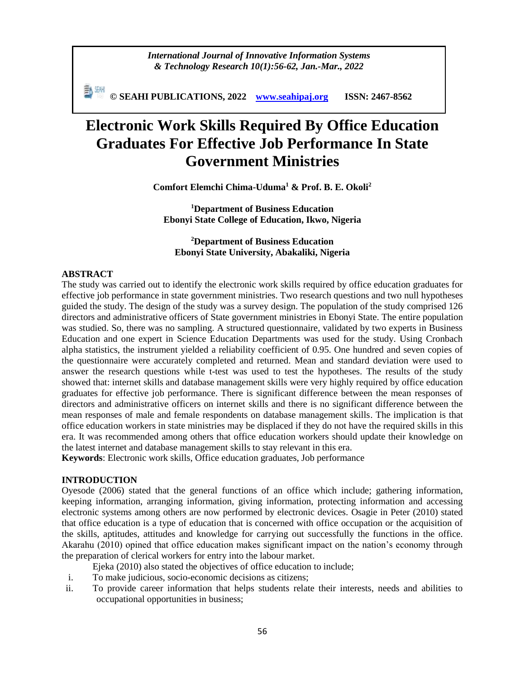*International Journal of Innovative Information Systems & Technology Research 10(1):56-62, Jan.-Mar., 2022*

副洲 **© SEAHI PUBLICATIONS, 2022 [www.seahipaj.org](http://www.seahipaj.org/) ISSN: 2467-8562**

# **Electronic Work Skills Required By Office Education Graduates For Effective Job Performance In State Government Ministries**

**Comfort Elemchi Chima-Uduma<sup>1</sup> & Prof. B. E. Okoli<sup>2</sup>**

**<sup>1</sup>Department of Business Education Ebonyi State College of Education, Ikwo, Nigeria**

# **<sup>2</sup>Department of Business Education Ebonyi State University, Abakaliki, Nigeria**

#### **ABSTRACT**

The study was carried out to identify the electronic work skills required by office education graduates for effective job performance in state government ministries. Two research questions and two null hypotheses guided the study. The design of the study was a survey design. The population of the study comprised 126 directors and administrative officers of State government ministries in Ebonyi State. The entire population was studied. So, there was no sampling. A structured questionnaire, validated by two experts in Business Education and one expert in Science Education Departments was used for the study. Using Cronbach alpha statistics, the instrument yielded a reliability coefficient of 0.95. One hundred and seven copies of the questionnaire were accurately completed and returned. Mean and standard deviation were used to answer the research questions while t-test was used to test the hypotheses. The results of the study showed that: internet skills and database management skills were very highly required by office education graduates for effective job performance. There is significant difference between the mean responses of directors and administrative officers on internet skills and there is no significant difference between the mean responses of male and female respondents on database management skills. The implication is that office education workers in state ministries may be displaced if they do not have the required skills in this era. It was recommended among others that office education workers should update their knowledge on the latest internet and database management skills to stay relevant in this era.

**Keywords**: Electronic work skills, Office education graduates, Job performance

#### **INTRODUCTION**

Oyesode (2006) stated that the general functions of an office which include; gathering information, keeping information, arranging information, giving information, protecting information and accessing electronic systems among others are now performed by electronic devices. Osagie in Peter (2010) stated that office education is a type of education that is concerned with office occupation or the acquisition of the skills, aptitudes, attitudes and knowledge for carrying out successfully the functions in the office. Akarahu (2010) opined that office education makes significant impact on the nation's economy through the preparation of clerical workers for entry into the labour market.

Ejeka (2010) also stated the objectives of office education to include;

- i. To make judicious, socio-economic decisions as citizens;
- ii. To provide career information that helps students relate their interests, needs and abilities to occupational opportunities in business;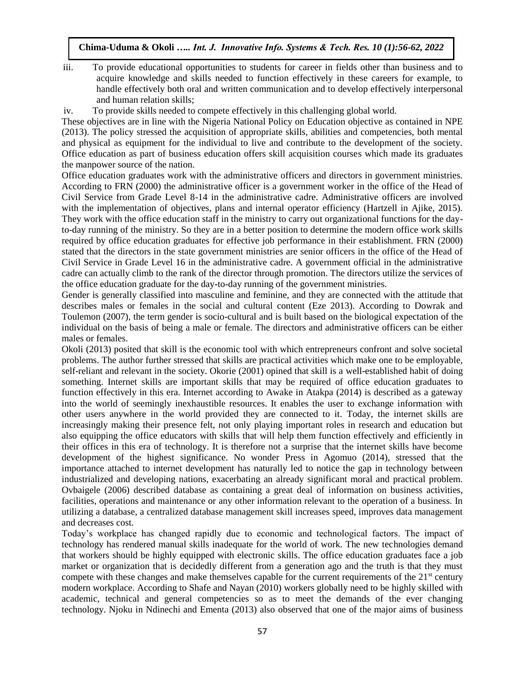- iii. To provide educational opportunities to students for career in fields other than business and to acquire knowledge and skills needed to function effectively in these careers for example, to handle effectively both oral and written communication and to develop effectively interpersonal and human relation skills;
- iv. To provide skills needed to compete effectively in this challenging global world.

These objectives are in line with the Nigeria National Policy on Education objective as contained in NPE (2013). The policy stressed the acquisition of appropriate skills, abilities and competencies, both mental and physical as equipment for the individual to live and contribute to the development of the society. Office education as part of business education offers skill acquisition courses which made its graduates the manpower source of the nation.

Office education graduates work with the administrative officers and directors in government ministries. According to FRN (2000) the administrative officer is a government worker in the office of the Head of Civil Service from Grade Level 8-14 in the administrative cadre. Administrative officers are involved with the implementation of objectives, plans and internal operator efficiency (Hartzell in Ajike, 2015). They work with the office education staff in the ministry to carry out organizational functions for the dayto-day running of the ministry. So they are in a better position to determine the modern office work skills required by office education graduates for effective job performance in their establishment. FRN (2000) stated that the directors in the state government ministries are senior officers in the office of the Head of Civil Service in Grade Level 16 in the administrative cadre. A government official in the administrative cadre can actually climb to the rank of the director through promotion. The directors utilize the services of the office education graduate for the day-to-day running of the government ministries.

Gender is generally classified into masculine and feminine, and they are connected with the attitude that describes males or females in the social and cultural content (Eze 2013). According to Dowrak and Toulemon (2007), the term gender is socio-cultural and is built based on the biological expectation of the individual on the basis of being a male or female. The directors and administrative officers can be either males or females.

Okoli (2013) posited that skill is the economic tool with which entrepreneurs confront and solve societal problems. The author further stressed that skills are practical activities which make one to be employable, self-reliant and relevant in the society. Okorie (2001) opined that skill is a well-established habit of doing something. Internet skills are important skills that may be required of office education graduates to function effectively in this era. Internet according to Awake in Atakpa (2014) is described as a gateway into the world of seemingly inexhaustible resources. It enables the user to exchange information with other users anywhere in the world provided they are connected to it. Today, the internet skills are increasingly making their presence felt, not only playing important roles in research and education but also equipping the office educators with skills that will help them function effectively and efficiently in their offices in this era of technology. It is therefore not a surprise that the internet skills have become development of the highest significance. No wonder Press in Agomuo (2014), stressed that the importance attached to internet development has naturally led to notice the gap in technology between industrialized and developing nations, exacerbating an already significant moral and practical problem. Ovbaigele (2006) described database as containing a great deal of information on business activities, facilities, operations and maintenance or any other information relevant to the operation of a business. In utilizing a database, a centralized database management skill increases speed, improves data management and decreases cost.

Today's workplace has changed rapidly due to economic and technological factors. The impact of technology has rendered manual skills inadequate for the world of work. The new technologies demand that workers should be highly equipped with electronic skills. The office education graduates face a job market or organization that is decidedly different from a generation ago and the truth is that they must compete with these changes and make themselves capable for the current requirements of the  $21<sup>st</sup>$  century modern workplace. According to Shafe and Nayan (2010) workers globally need to be highly skilled with academic, technical and general competencies so as to meet the demands of the ever changing technology. Njoku in Ndinechi and Ementa (2013) also observed that one of the major aims of business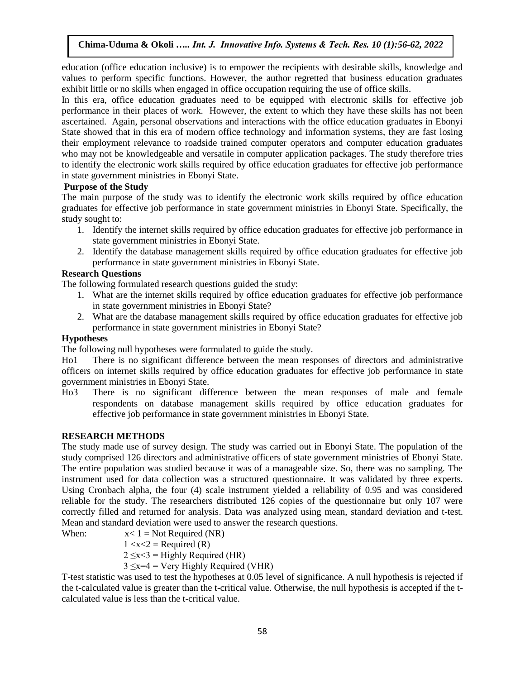education (office education inclusive) is to empower the recipients with desirable skills, knowledge and values to perform specific functions. However, the author regretted that business education graduates exhibit little or no skills when engaged in office occupation requiring the use of office skills.

In this era, office education graduates need to be equipped with electronic skills for effective job performance in their places of work. However, the extent to which they have these skills has not been ascertained. Again, personal observations and interactions with the office education graduates in Ebonyi State showed that in this era of modern office technology and information systems, they are fast losing their employment relevance to roadside trained computer operators and computer education graduates who may not be knowledgeable and versatile in computer application packages. The study therefore tries to identify the electronic work skills required by office education graduates for effective job performance in state government ministries in Ebonyi State.

# **Purpose of the Study**

The main purpose of the study was to identify the electronic work skills required by office education graduates for effective job performance in state government ministries in Ebonyi State. Specifically, the study sought to:

- 1. Identify the internet skills required by office education graduates for effective job performance in state government ministries in Ebonyi State.
- 2. Identify the database management skills required by office education graduates for effective job performance in state government ministries in Ebonyi State.

# **Research Questions**

The following formulated research questions guided the study:

- 1. What are the internet skills required by office education graduates for effective job performance in state government ministries in Ebonyi State?
- 2. What are the database management skills required by office education graduates for effective job performance in state government ministries in Ebonyi State?

## **Hypotheses**

The following null hypotheses were formulated to guide the study.

Ho1 There is no significant difference between the mean responses of directors and administrative officers on internet skills required by office education graduates for effective job performance in state government ministries in Ebonyi State.

Ho3 There is no significant difference between the mean responses of male and female respondents on database management skills required by office education graduates for effective job performance in state government ministries in Ebonyi State.

## **RESEARCH METHODS**

The study made use of survey design. The study was carried out in Ebonyi State. The population of the study comprised 126 directors and administrative officers of state government ministries of Ebonyi State. The entire population was studied because it was of a manageable size. So, there was no sampling. The instrument used for data collection was a structured questionnaire. It was validated by three experts. Using Cronbach alpha, the four (4) scale instrument yielded a reliability of 0.95 and was considered reliable for the study. The researchers distributed 126 copies of the questionnaire but only 107 were correctly filled and returned for analysis. Data was analyzed using mean, standard deviation and t-test. Mean and standard deviation were used to answer the research questions.

When:  $x < 1 = Not Required (NR)$ 

 $1 < x < 2$  = Required (R)

 $2 \le x \le 3$  = Highly Required (HR)

 $3 \leq x=4$  = Very Highly Required (VHR)

T-test statistic was used to test the hypotheses at 0.05 level of significance. A null hypothesis is rejected if the t-calculated value is greater than the t-critical value. Otherwise, the null hypothesis is accepted if the tcalculated value is less than the t-critical value.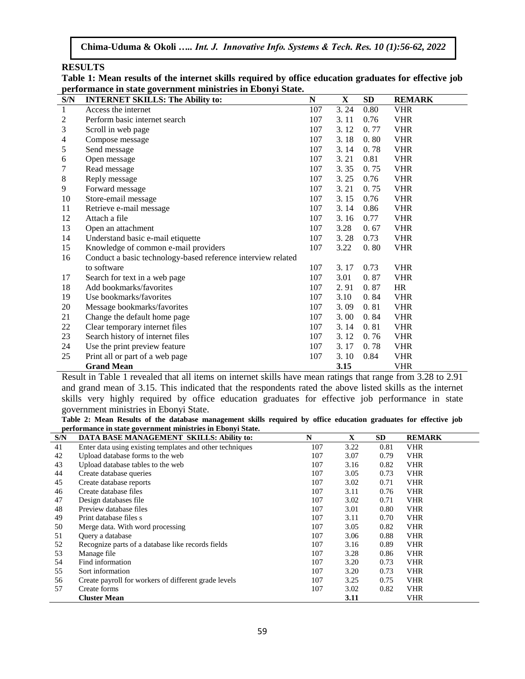#### **RESULTS**

| Table 1: Mean results of the internet skills required by office education graduates for effective job |
|-------------------------------------------------------------------------------------------------------|
| performance in state government ministries in Ebonyi State.                                           |

| S/N          | <b>INTERNET SKILLS: The Ability to:</b>                      | ${\bf N}$ | $\mathbf X$ | SD   | <b>REMARK</b> |
|--------------|--------------------------------------------------------------|-----------|-------------|------|---------------|
| $\mathbf{1}$ | Access the internet                                          | 107       | 3.24        | 0.80 | <b>VHR</b>    |
| 2            | Perform basic internet search                                | 107       | 3.11        | 0.76 | <b>VHR</b>    |
| 3            | Scroll in web page                                           | 107       | 3.12        | 0.77 | <b>VHR</b>    |
| 4            | Compose message                                              | 107       | 3.18        | 0.80 | <b>VHR</b>    |
| 5            | Send message                                                 | 107       | 3.14        | 0.78 | <b>VHR</b>    |
| 6            | Open message                                                 | 107       | 3.21        | 0.81 | <b>VHR</b>    |
| 7            | Read message                                                 | 107       | 3.35        | 0.75 | <b>VHR</b>    |
| 8            | Reply message                                                | 107       | 3.25        | 0.76 | <b>VHR</b>    |
| 9            | Forward message                                              | 107       | 3.21        | 0.75 | <b>VHR</b>    |
| 10           | Store-email message                                          | 107       | 3.15        | 0.76 | <b>VHR</b>    |
| 11           | Retrieve e-mail message                                      | 107       | 3.14        | 0.86 | <b>VHR</b>    |
| 12           | Attach a file                                                | 107       | 3.16        | 0.77 | <b>VHR</b>    |
| 13           | Open an attachment                                           | 107       | 3.28        | 0.67 | <b>VHR</b>    |
| 14           | Understand basic e-mail etiquette                            | 107       | 3.28        | 0.73 | <b>VHR</b>    |
| 15           | Knowledge of common e-mail providers                         | 107       | 3.22        | 0.80 | <b>VHR</b>    |
| 16           | Conduct a basic technology-based reference interview related |           |             |      |               |
|              | to software                                                  | 107       | 3.17        | 0.73 | <b>VHR</b>    |
| 17           | Search for text in a web page                                | 107       | 3.01        | 0.87 | <b>VHR</b>    |
| 18           | Add bookmarks/favorites                                      | 107       | 2.91        | 0.87 | <b>HR</b>     |
| 19           | Use bookmarks/favorites                                      | 107       | 3.10        | 0.84 | <b>VHR</b>    |
| 20           | Message bookmarks/favorites                                  | 107       | 3.09        | 0.81 | <b>VHR</b>    |
| 21           | Change the default home page                                 | 107       | 3.00        | 0.84 | <b>VHR</b>    |
| 22           | Clear temporary internet files                               | 107       | 3.14        | 0.81 | <b>VHR</b>    |
| 23           | Search history of internet files                             | 107       | 3.12        | 0.76 | <b>VHR</b>    |
| 24           | Use the print preview feature                                | 107       | 3.17        | 0.78 | <b>VHR</b>    |
| 25           | Print all or part of a web page                              | 107       | 3.10        | 0.84 | <b>VHR</b>    |
|              | <b>Grand Mean</b>                                            |           | 3.15        |      | <b>VHR</b>    |

Result in Table 1 revealed that all items on internet skills have mean ratings that range from 3.28 to 2.91 and grand mean of 3.15. This indicated that the respondents rated the above listed skills as the internet skills very highly required by office education graduates for effective job performance in state government ministries in Ebonyi State.

**Table 2: Mean Results of the database management skills required by office education graduates for effective job performance in state government ministries in Ebonyi State.**

| S/N | DATA BASE MANAGEMENT SKILLS: Ability to:                 | N   | X    | <b>SD</b> | <b>REMARK</b> |
|-----|----------------------------------------------------------|-----|------|-----------|---------------|
| 41  | Enter data using existing templates and other techniques | 107 | 3.22 | 0.81      | <b>VHR</b>    |
| 42  | Upload database forms to the web                         | 107 | 3.07 | 0.79      | <b>VHR</b>    |
| 43  | Upload database tables to the web                        | 107 | 3.16 | 0.82      | <b>VHR</b>    |
| 44  | Create database queries                                  | 107 | 3.05 | 0.73      | <b>VHR</b>    |
| 45  | Create database reports                                  | 107 | 3.02 | 0.71      | <b>VHR</b>    |
| 46  | Create database files                                    | 107 | 3.11 | 0.76      | <b>VHR</b>    |
| 47  | Design databases file                                    | 107 | 3.02 | 0.71      | <b>VHR</b>    |
| 48  | Preview database files                                   | 107 | 3.01 | 0.80      | <b>VHR</b>    |
| 49  | Print database files s                                   | 107 | 3.11 | 0.70      | <b>VHR</b>    |
| 50  | Merge data. With word processing                         | 107 | 3.05 | 0.82      | <b>VHR</b>    |
| 51  | Query a database                                         | 107 | 3.06 | 0.88      | <b>VHR</b>    |
| 52  | Recognize parts of a database like records fields        | 107 | 3.16 | 0.89      | <b>VHR</b>    |
| 53  | Manage file                                              | 107 | 3.28 | 0.86      | <b>VHR</b>    |
| 54  | Find information                                         | 107 | 3.20 | 0.73      | <b>VHR</b>    |
| 55  | Sort information                                         | 107 | 3.20 | 0.73      | <b>VHR</b>    |
| 56  | Create payroll for workers of different grade levels     | 107 | 3.25 | 0.75      | <b>VHR</b>    |
| 57  | Create forms                                             | 107 | 3.02 | 0.82      | <b>VHR</b>    |
|     | <b>Cluster Mean</b>                                      |     | 3.11 |           | <b>VHR</b>    |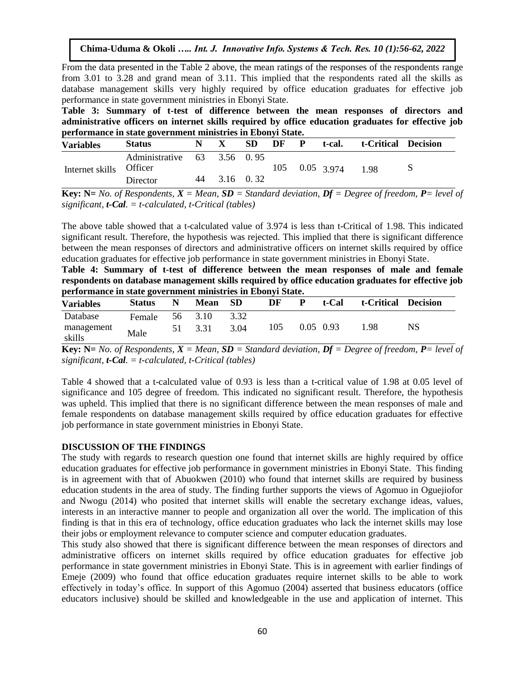From the data presented in the Table 2 above, the mean ratings of the responses of the respondents range from 3.01 to 3.28 and grand mean of 3.11. This implied that the respondents rated all the skills as database management skills very highly required by office education graduates for effective job performance in state government ministries in Ebonyi State.

**Table 3: Summary of t-test of difference between the mean responses of directors and administrative officers on internet skills required by office education graduates for effective job performance in state government ministries in Ebonyi State.**

| <b>Variables</b>        | <b>Status</b>               | N |              | <b>SD</b> | DF | $\mathbf{P}$ | t-cal.                      | t-Critical Decision |  |
|-------------------------|-----------------------------|---|--------------|-----------|----|--------------|-----------------------------|---------------------|--|
| Internet skills Officer | Administrative 63 3.56 0.95 |   |              |           |    |              | $105$ $0.05$ $3.974$ $1.98$ |                     |  |
|                         | Director                    |   | 44 3.16 0.32 |           |    |              |                             |                     |  |

**Key: N=** No. of Respondents,  $X = Mean$ ,  $SD = Standard deviation$ ,  $DF = Degree$  of freedom,  $P = level$  of *significant, t-Cal. = t-calculated, t-Critical (tables)*

The above table showed that a t-calculated value of 3.974 is less than t-Critical of 1.98. This indicated significant result. Therefore, the hypothesis was rejected. This implied that there is significant difference between the mean responses of directors and administrative officers on internet skills required by office education graduates for effective job performance in state government ministries in Ebonyi State.

**Table 4: Summary of t-test of difference between the mean responses of male and female respondents on database management skills required by office education graduates for effective job performance in state government ministries in Ebonyi State.**

| <b>Variables</b>     | <b>Status</b> | N  | <b>Mean</b> | - SD | DF  | P | t-Cal       | t-Critical | <b>Decision</b> |
|----------------------|---------------|----|-------------|------|-----|---|-------------|------------|-----------------|
| Database             | Female        | 56 | 3.10        | 3.32 |     |   |             |            |                 |
| management<br>skills | Male          | 51 | 3.31        | 3.04 | 105 |   | $0.05$ 0.93 | 1.98       | NS              |

**Key: N=** No. of Respondents,  $X = Mean$ ,  $SD = Standard deviation$ ,  $Df = Degree$  of freedom,  $P = level$  of *significant, t-Cal. = t-calculated, t-Critical (tables)*

Table 4 showed that a t-calculated value of 0.93 is less than a t-critical value of 1.98 at 0.05 level of significance and 105 degree of freedom. This indicated no significant result. Therefore, the hypothesis was upheld. This implied that there is no significant difference between the mean responses of male and female respondents on database management skills required by office education graduates for effective job performance in state government ministries in Ebonyi State.

#### **DISCUSSION OF THE FINDINGS**

The study with regards to research question one found that internet skills are highly required by office education graduates for effective job performance in government ministries in Ebonyi State. This finding is in agreement with that of Abuokwen (2010) who found that internet skills are required by business education students in the area of study. The finding further supports the views of Agomuo in Oguejiofor and Nwogu (2014) who posited that internet skills will enable the secretary exchange ideas, values, interests in an interactive manner to people and organization all over the world. The implication of this finding is that in this era of technology, office education graduates who lack the internet skills may lose their jobs or employment relevance to computer science and computer education graduates.

This study also showed that there is significant difference between the mean responses of directors and administrative officers on internet skills required by office education graduates for effective job performance in state government ministries in Ebonyi State. This is in agreement with earlier findings of Emeje (2009) who found that office education graduates require internet skills to be able to work effectively in today's office. In support of this Agomuo (2004) asserted that business educators (office educators inclusive) should be skilled and knowledgeable in the use and application of internet. This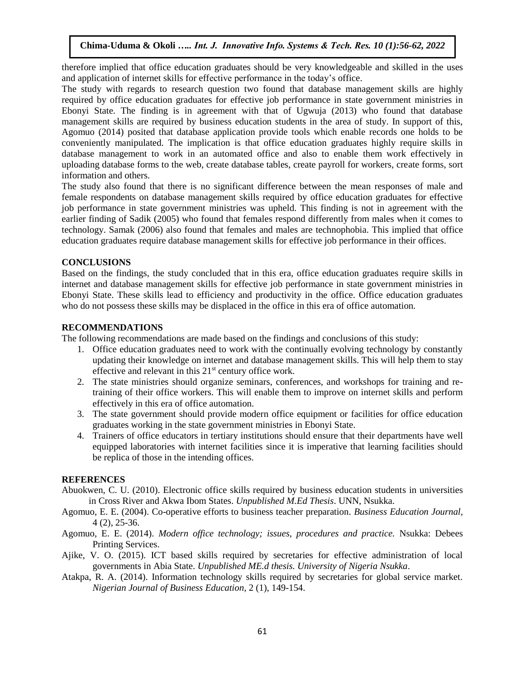therefore implied that office education graduates should be very knowledgeable and skilled in the uses and application of internet skills for effective performance in the today's office.

The study with regards to research question two found that database management skills are highly required by office education graduates for effective job performance in state government ministries in Ebonyi State. The finding is in agreement with that of Ugwuja (2013) who found that database management skills are required by business education students in the area of study. In support of this, Agomuo (2014) posited that database application provide tools which enable records one holds to be conveniently manipulated. The implication is that office education graduates highly require skills in database management to work in an automated office and also to enable them work effectively in uploading database forms to the web, create database tables, create payroll for workers, create forms, sort information and others.

The study also found that there is no significant difference between the mean responses of male and female respondents on database management skills required by office education graduates for effective job performance in state government ministries was upheld. This finding is not in agreement with the earlier finding of Sadik (2005) who found that females respond differently from males when it comes to technology. Samak (2006) also found that females and males are technophobia. This implied that office education graduates require database management skills for effective job performance in their offices.

## **CONCLUSIONS**

Based on the findings, the study concluded that in this era, office education graduates require skills in internet and database management skills for effective job performance in state government ministries in Ebonyi State. These skills lead to efficiency and productivity in the office. Office education graduates who do not possess these skills may be displaced in the office in this era of office automation.

#### **RECOMMENDATIONS**

The following recommendations are made based on the findings and conclusions of this study:

- 1. Office education graduates need to work with the continually evolving technology by constantly updating their knowledge on internet and database management skills. This will help them to stay effective and relevant in this  $21<sup>st</sup>$  century office work.
- 2. The state ministries should organize seminars, conferences, and workshops for training and retraining of their office workers. This will enable them to improve on internet skills and perform effectively in this era of office automation.
- 3. The state government should provide modern office equipment or facilities for office education graduates working in the state government ministries in Ebonyi State.
- 4. Trainers of office educators in tertiary institutions should ensure that their departments have well equipped laboratories with internet facilities since it is imperative that learning facilities should be replica of those in the intending offices.

## **REFERENCES**

- Abuokwen, C. U. (2010). Electronic office skills required by business education students in universities in Cross River and Akwa Ibom States. *Unpublished M.Ed Thesis*. UNN, Nsukka.
- Agomuo, E. E. (2004). Co-operative efforts to business teacher preparation. *Business Education Journal,* 4 (2), 25-36.
- Agomuo, E. E. (2014). *Modern office technology; issues, procedures and practice.* Nsukka: Debees Printing Services.
- Ajike, V. O. (2015). ICT based skills required by secretaries for effective administration of local governments in Abia State. *Unpublished ME.d thesis. University of Nigeria Nsukka*.
- Atakpa, R. A. (2014). Information technology skills required by secretaries for global service market. *Nigerian Journal of Business Education,* 2 (1), 149-154.